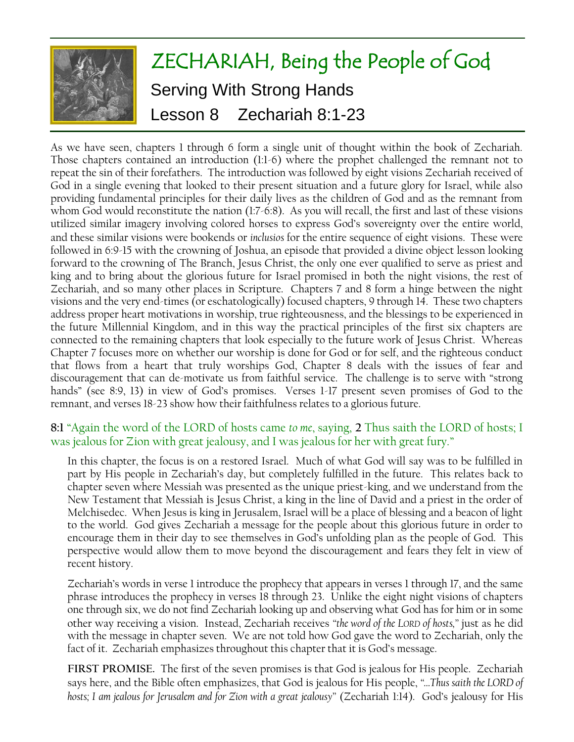

As we have seen, chapters 1 through 6 form a single unit of thought within the book of Zechariah. Those chapters contained an introduction (1:1-6) where the prophet challenged the remnant not to repeat the sin of their forefathers. The introduction was followed by eight visions Zechariah received of God in a single evening that looked to their present situation and a future glory for Israel, while also providing fundamental principles for their daily lives as the children of God and as the remnant from whom God would reconstitute the nation (1:7-6:8). As you will recall, the first and last of these visions utilized similar imagery involving colored horses to express God's sovereignty over the entire world, and these similar visions were bookends or *inclusios* for the entire sequence of eight visions. These were followed in 6:9-15 with the crowning of Joshua, an episode that provided a divine object lesson looking forward to the crowning of The Branch, Jesus Christ, the only one ever qualified to serve as priest and king and to bring about the glorious future for Israel promised in both the night visions, the rest of Zechariah, and so many other places in Scripture. Chapters 7 and 8 form a hinge between the night visions and the very end-times (or eschatologically) focused chapters, 9 through 14. These two chapters address proper heart motivations in worship, true righteousness, and the blessings to be experienced in the future Millennial Kingdom, and in this way the practical principles of the first six chapters are connected to the remaining chapters that look especially to the future work of Jesus Christ. Whereas Chapter 7 focuses more on whether our worship is done for God or for self, and the righteous conduct that flows from a heart that truly worships God, Chapter 8 deals with the issues of fear and discouragement that can de-motivate us from faithful service. The challenge is to serve with "strong hands" (see 8:9, 13) in view of God's promises. Verses 1-17 present seven promises of God to the remnant, and verses 18-23 show how their faithfulness relates to a glorious future.

## **8:1** "Again the word of the LORD of hosts came *to me*, saying, **2** Thus saith the LORD of hosts; I was jealous for Zion with great jealousy, and I was jealous for her with great fury."

In this chapter, the focus is on a restored Israel. Much of what God will say was to be fulfilled in part by His people in Zechariah's day, but completely fulfilled in the future. This relates back to chapter seven where Messiah was presented as the unique priest-king, and we understand from the New Testament that Messiah is Jesus Christ, a king in the line of David and a priest in the order of Melchisedec. When Jesus is king in Jerusalem, Israel will be a place of blessing and a beacon of light to the world. God gives Zechariah a message for the people about this glorious future in order to encourage them in their day to see themselves in God's unfolding plan as the people of God. This perspective would allow them to move beyond the discouragement and fears they felt in view of recent history.

Zechariah's words in verse 1 introduce the prophecy that appears in verses 1 through 17, and the same phrase introduces the prophecy in verses 18 through 23. Unlike the eight night visions of chapters one through six, we do not find Zechariah looking up and observing what God has for him or in some other way receiving a vision. Instead, Zechariah receives *"the word of the LORD of hosts,"* just as he did with the message in chapter seven. We are not told how God gave the word to Zechariah, only the fact of it. Zechariah emphasizes throughout this chapter that it is God's message.

**FIRST PROMISE.** The first of the seven promises is that God is jealous for His people. Zechariah says here, and the Bible often emphasizes, that God is jealous for His people, *"…Thus saith the LORD of hosts; I am jealous for Jerusalem and for Zion with a great jealousy"* (Zechariah 1:14). God's jealousy for His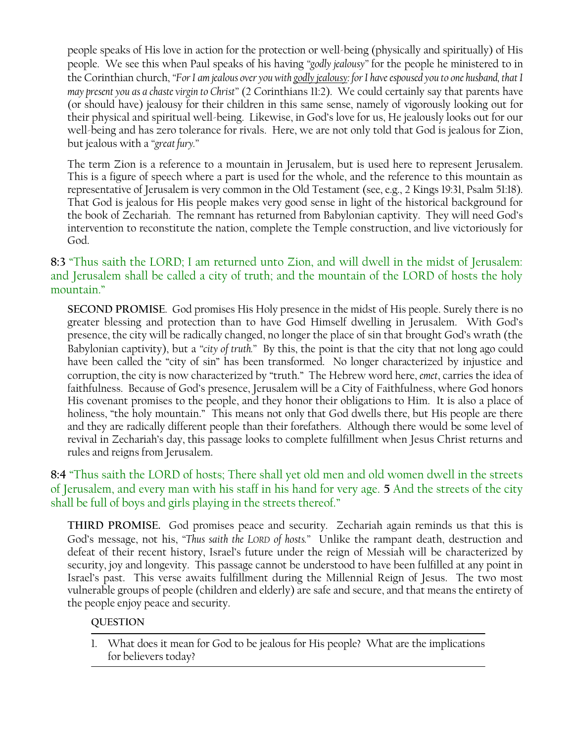people speaks of His love in action for the protection or well-being (physically and spiritually) of His people. We see this when Paul speaks of his having *"godly jealousy"* for the people he ministered to in the Corinthian church, *"For I am jealous over you with godly jealousy: for I have espoused you to one husband, that I may present you as a chaste virgin to Christ"* (2 Corinthians 11:2). We could certainly say that parents have (or should have) jealousy for their children in this same sense, namely of vigorously looking out for their physical and spiritual well-being. Likewise, in God's love for us, He jealously looks out for our well-being and has zero tolerance for rivals. Here, we are not only told that God is jealous for Zion, but jealous with a *"great fury."*

The term Zion is a reference to a mountain in Jerusalem, but is used here to represent Jerusalem. This is a figure of speech where a part is used for the whole, and the reference to this mountain as representative of Jerusalem is very common in the Old Testament (see, e.g., 2 Kings 19:31, Psalm 51:18). That God is jealous for His people makes very good sense in light of the historical background for the book of Zechariah. The remnant has returned from Babylonian captivity. They will need God's intervention to reconstitute the nation, complete the Temple construction, and live victoriously for God.

# **8:3** "Thus saith the LORD; I am returned unto Zion, and will dwell in the midst of Jerusalem: and Jerusalem shall be called a city of truth; and the mountain of the LORD of hosts the holy mountain."

**SECOND PROMISE**. God promises His Holy presence in the midst of His people. Surely there is no greater blessing and protection than to have God Himself dwelling in Jerusalem. With God's presence, the city will be radically changed, no longer the place of sin that brought God's wrath (the Babylonian captivity), but a *"city of truth."* By this, the point is that the city that not long ago could have been called the "city of sin" has been transformed. No longer characterized by injustice and corruption, the city is now characterized by "truth." The Hebrew word here, *emet*, carries the idea of faithfulness. Because of God's presence, Jerusalem will be a City of Faithfulness, where God honors His covenant promises to the people, and they honor their obligations to Him. It is also a place of holiness, "the holy mountain." This means not only that God dwells there, but His people are there and they are radically different people than their forefathers. Although there would be some level of revival in Zechariah's day, this passage looks to complete fulfillment when Jesus Christ returns and rules and reigns from Jerusalem.

# **8:4** "Thus saith the LORD of hosts; There shall yet old men and old women dwell in the streets of Jerusalem, and every man with his staff in his hand for very age. **5** And the streets of the city shall be full of boys and girls playing in the streets thereof."

**THIRD PROMISE.** God promises peace and security. Zechariah again reminds us that this is God's message, not his, *"Thus saith the LORD of hosts."* Unlike the rampant death, destruction and defeat of their recent history, Israel's future under the reign of Messiah will be characterized by security, joy and longevity. This passage cannot be understood to have been fulfilled at any point in Israel's past. This verse awaits fulfillment during the Millennial Reign of Jesus. The two most vulnerable groups of people (children and elderly) are safe and secure, and that means the entirety of the people enjoy peace and security.

## **QUESTION**

1. What does it mean for God to be jealous for His people? What are the implications for believers today?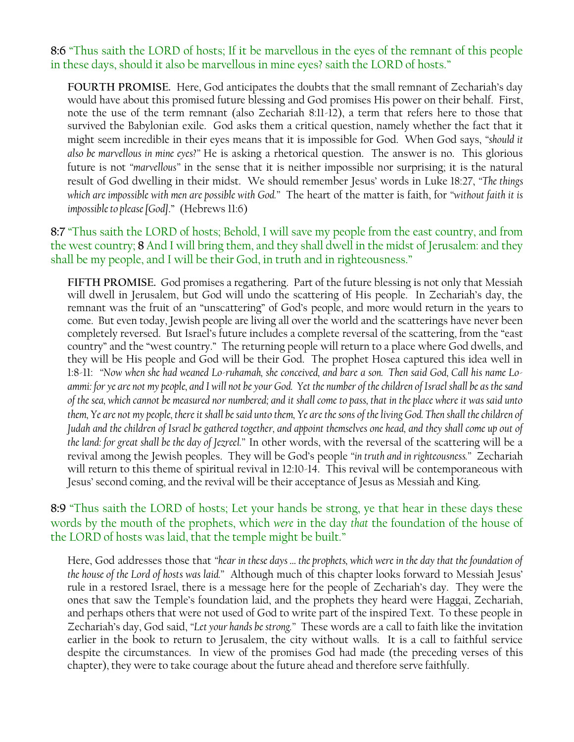**8:6** "Thus saith the LORD of hosts; If it be marvellous in the eyes of the remnant of this people in these days, should it also be marvellous in mine eyes? saith the LORD of hosts."

**FOURTH PROMISE.** Here, God anticipates the doubts that the small remnant of Zechariah's day would have about this promised future blessing and God promises His power on their behalf. First, note the use of the term remnant (also Zechariah 8:11-12), a term that refers here to those that survived the Babylonian exile. God asks them a critical question, namely whether the fact that it might seem incredible in their eyes means that it is impossible for God. When God says, *"should it also be marvellous in mine eyes?"* He is asking a rhetorical question. The answer is no. This glorious future is not *"marvellous"* in the sense that it is neither impossible nor surprising; it is the natural result of God dwelling in their midst. We should remember Jesus' words in Luke 18:27, *"The things which are impossible with men are possible with God."* The heart of the matter is faith, for *"without faith it is impossible to please [God]*." (Hebrews 11:6)

**8:7** "Thus saith the LORD of hosts; Behold, I will save my people from the east country, and from the west country; **8** And I will bring them, and they shall dwell in the midst of Jerusalem: and they shall be my people, and I will be their God, in truth and in righteousness."

**FIFTH PROMISE.** God promises a regathering. Part of the future blessing is not only that Messiah will dwell in Jerusalem, but God will undo the scattering of His people. In Zechariah's day, the remnant was the fruit of an "unscattering" of God's people, and more would return in the years to come. But even today, Jewish people are living all over the world and the scatterings have never been completely reversed. But Israel's future includes a complete reversal of the scattering, from the "east country" and the "west country." The returning people will return to a place where God dwells, and they will be His people and God will be their God. The prophet Hosea captured this idea well in 1:8-11: *"Now when she had weaned Lo-ruhamah, she conceived, and bare a son. Then said God, Call his name Loammi: for ye are not my people, and I will not be your God. Yet the number of the children of Israel shall be as the sand of the sea, which cannot be measured nor numbered; and it shall come to pass, that in the place where it was said unto them, Ye are not my people, there it shall be said unto them, Ye are the sons of the living God. Then shall the children of Judah and the children of Israel be gathered together, and appoint themselves one head, and they shall come up out of the land: for great shall be the day of Jezreel."* In other words, with the reversal of the scattering will be a revival among the Jewish peoples. They will be God's people *"in truth and in righteousness."* Zechariah will return to this theme of spiritual revival in 12:10-14. This revival will be contemporaneous with Jesus' second coming, and the revival will be their acceptance of Jesus as Messiah and King.

# **8:9** "Thus saith the LORD of hosts; Let your hands be strong, ye that hear in these days these words by the mouth of the prophets, which *were* in the day *that* the foundation of the house of the LORD of hosts was laid, that the temple might be built."

Here, God addresses those that *"hear in these days … the prophets, which were in the day that the foundation of the house of the Lord of hosts was laid."* Although much of this chapter looks forward to Messiah Jesus' rule in a restored Israel, there is a message here for the people of Zechariah's day. They were the ones that saw the Temple's foundation laid, and the prophets they heard were Haggai, Zechariah, and perhaps others that were not used of God to write part of the inspired Text. To these people in Zechariah's day, God said, *"Let your hands be strong."* These words are a call to faith like the invitation earlier in the book to return to Jerusalem, the city without walls. It is a call to faithful service despite the circumstances. In view of the promises God had made (the preceding verses of this chapter), they were to take courage about the future ahead and therefore serve faithfully.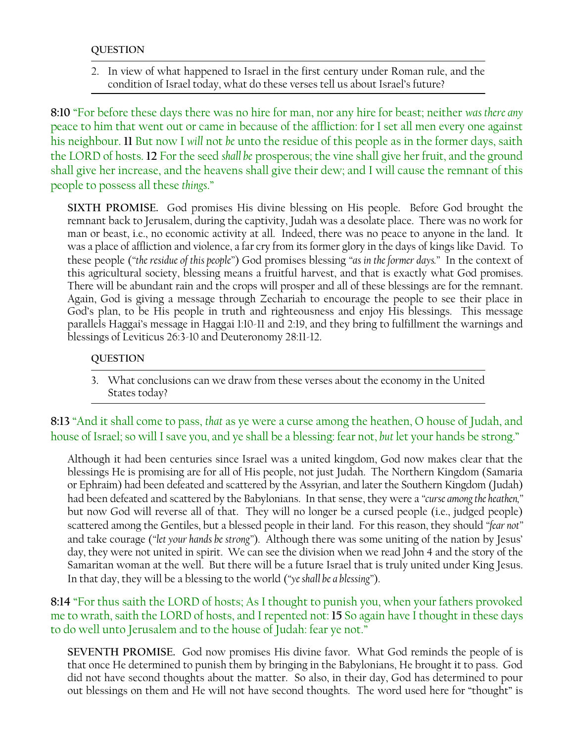### **QUESTION**

2. In view of what happened to Israel in the first century under Roman rule, and the condition of Israel today, what do these verses tell us about Israel's future?

**8:10** "For before these days there was no hire for man, nor any hire for beast; neither *was there any* peace to him that went out or came in because of the affliction: for I set all men every one against his neighbour. **11** But now I *will* not *be* unto the residue of this people as in the former days, saith the LORD of hosts. **12** For the seed *shall be* prosperous; the vine shall give her fruit, and the ground shall give her increase, and the heavens shall give their dew; and I will cause the remnant of this people to possess all these *things*."

**SIXTH PROMISE.** God promises His divine blessing on His people. Before God brought the remnant back to Jerusalem, during the captivity, Judah was a desolate place. There was no work for man or beast, i.e., no economic activity at all. Indeed, there was no peace to anyone in the land. It was a place of affliction and violence, a far cry from its former glory in the days of kings like David. To these people (*"the residue of this people"*) God promises blessing *"as in the former days."* In the context of this agricultural society, blessing means a fruitful harvest, and that is exactly what God promises. There will be abundant rain and the crops will prosper and all of these blessings are for the remnant. Again, God is giving a message through Zechariah to encourage the people to see their place in God's plan, to be His people in truth and righteousness and enjoy His blessings. This message parallels Haggai's message in Haggai 1:10-11 and 2:19, and they bring to fulfillment the warnings and blessings of Leviticus 26:3-10 and Deuteronomy 28:11-12.

#### **QUESTION**

3. What conclusions can we draw from these verses about the economy in the United States today?

**8:13** "And it shall come to pass, *that* as ye were a curse among the heathen, O house of Judah, and house of Israel; so will I save you, and ye shall be a blessing: fear not, *but* let your hands be strong."

Although it had been centuries since Israel was a united kingdom, God now makes clear that the blessings He is promising are for all of His people, not just Judah. The Northern Kingdom (Samaria or Ephraim) had been defeated and scattered by the Assyrian, and later the Southern Kingdom (Judah) had been defeated and scattered by the Babylonians. In that sense, they were a *"curse among the heathen,"* but now God will reverse all of that. They will no longer be a cursed people (i.e., judged people) scattered among the Gentiles, but a blessed people in their land. For this reason, they should *"fear not"* and take courage (*"let your hands be strong"*). Although there was some uniting of the nation by Jesus' day, they were not united in spirit. We can see the division when we read John 4 and the story of the Samaritan woman at the well. But there will be a future Israel that is truly united under King Jesus. In that day, they will be a blessing to the world (*"ye shall be a blessing"*).

## **8:14** "For thus saith the LORD of hosts; As I thought to punish you, when your fathers provoked me to wrath, saith the LORD of hosts, and I repented not: **15** So again have I thought in these days to do well unto Jerusalem and to the house of Judah: fear ye not."

**SEVENTH PROMISE.** God now promises His divine favor. What God reminds the people of is that once He determined to punish them by bringing in the Babylonians, He brought it to pass. God did not have second thoughts about the matter. So also, in their day, God has determined to pour out blessings on them and He will not have second thoughts. The word used here for "thought" is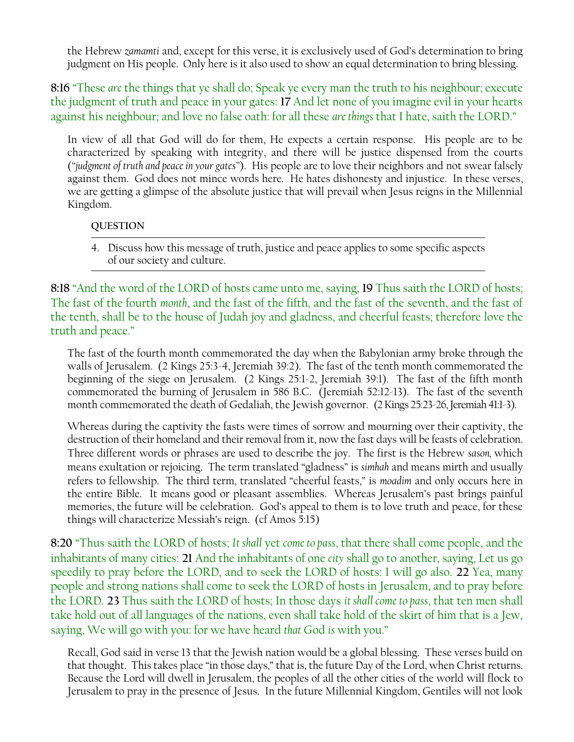the Hebrew *zamamti* and, except for this verse, it is exclusively used of God's determination to bring judgment on His people. Only here is it also used to show an equal determination to bring blessing.

**8:16** "These *are* the things that ye shall do; Speak ye every man the truth to his neighbour; execute the judgment of truth and peace in your gates: **17** And let none of you imagine evil in your hearts against his neighbour; and love no false oath: for all these *are things* that I hate, saith the LORD."

In view of all that God will do for them, He expects a certain response. His people are to be characterized by speaking with integrity, and there will be justice dispensed from the courts (*"judgment of truth and peace in your gates"*). His people are to love their neighbors and not swear falsely against them. God does not mince words here. He hates dishonesty and injustice. In these verses, we are getting a glimpse of the absolute justice that will prevail when Jesus reigns in the Millennial Kingdom.

### **QUESTION**

4. Discuss how this message of truth, justice and peace applies to some specific aspects of our society and culture.

**8:18** "And the word of the LORD of hosts came unto me, saying, **19** Thus saith the LORD of hosts; The fast of the fourth *month*, and the fast of the fifth, and the fast of the seventh, and the fast of the tenth, shall be to the house of Judah joy and gladness, and cheerful feasts; therefore love the truth and peace."

The fast of the fourth month commemorated the day when the Babylonian army broke through the walls of Jerusalem. (2 Kings 25:3-4, Jeremiah 39:2). The fast of the tenth month commemorated the beginning of the siege on Jerusalem. (2 Kings 25:1-2, Jeremiah 39:1). The fast of the fifth month commemorated the burning of Jerusalem in 586 B.C. (Jeremiah 52:12-13). The fast of the seventh month commemorated the death of Gedaliah, the Jewish governor. (2 Kings 25:23-26, Jeremiah 41:1-3).

Whereas during the captivity the fasts were times of sorrow and mourning over their captivity, the destruction of their homeland and their removal from it, now the fast days will be feasts of celebration. Three different words or phrases are used to describe the joy. The first is the Hebrew *sason,* which means exultation or rejoicing. The term translated "gladness" is *simhah* and means mirth and usually refers to fellowship. The third term, translated "cheerful feasts," is *moadim* and only occurs here in the entire Bible. It means good or pleasant assemblies. Whereas Jerusalem's past brings painful memories, the future will be celebration. God's appeal to them is to love truth and peace, for these things will characterize Messiah's reign. (cf Amos 5:15)

**8:20** "Thus saith the LORD of hosts; *It shall* yet *come to pass*, that there shall come people, and the inhabitants of many cities: **21** And the inhabitants of one *city* shall go to another, saying, Let us go speedily to pray before the LORD, and to seek the LORD of hosts: I will go also. **22** Yea, many people and strong nations shall come to seek the LORD of hosts in Jerusalem, and to pray before the LORD. **23** Thus saith the LORD of hosts; In those days *it shall come to pass*, that ten men shall take hold out of all languages of the nations, even shall take hold of the skirt of him that is a Jew, saying, We will go with you: for we have heard *that* God *is* with you."

Recall, God said in verse 13 that the Jewish nation would be a global blessing. These verses build on that thought. This takes place "in those days," that is, the future Day of the Lord, when Christ returns. Because the Lord will dwell in Jerusalem, the peoples of all the other cities of the world will flock to Jerusalem to pray in the presence of Jesus. In the future Millennial Kingdom, Gentiles will not look